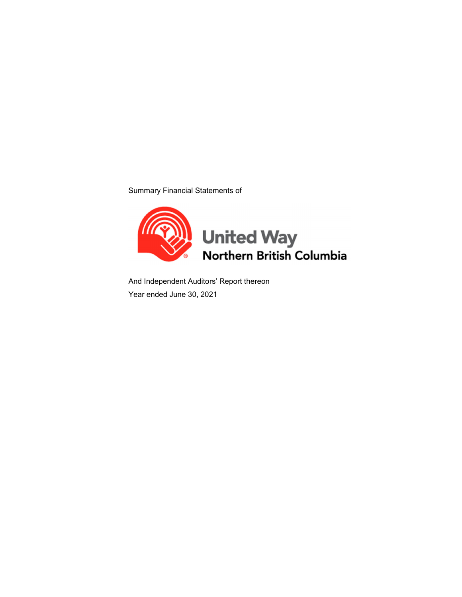Summary Financial Statements of



And Independent Auditors' Report thereon Year ended June 30, 2021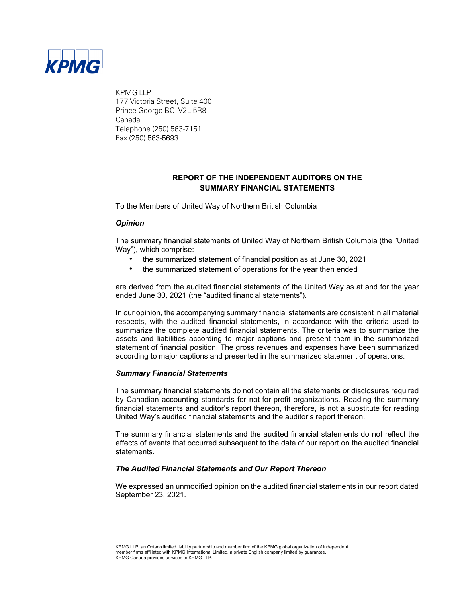

KPMG LLP 177 Victoria Street, Suite 400 Prince George BC V2L 5R8 Canada Telephone (250) 563-7151 Fax (250) 563-5693

## **REPORT OF THE INDEPENDENT AUDITORS ON THE SUMMARY FINANCIAL STATEMENTS**

To the Members of United Way of Northern British Columbia

#### *Opinion*

The summary financial statements of United Way of Northern British Columbia (the "United Way"), which comprise:

- the summarized statement of financial position as at June 30, 2021
- the summarized statement of operations for the year then ended

are derived from the audited financial statements of the United Way as at and for the year ended June 30, 2021 (the "audited financial statements").

In our opinion, the accompanying summary financial statements are consistent in all material respects, with the audited financial statements, in accordance with the criteria used to summarize the complete audited financial statements. The criteria was to summarize the assets and liabilities according to major captions and present them in the summarized statement of financial position. The gross revenues and expenses have been summarized according to major captions and presented in the summarized statement of operations.

#### *Summary Financial Statements*

The summary financial statements do not contain all the statements or disclosures required by Canadian accounting standards for not-for-profit organizations. Reading the summary financial statements and auditor's report thereon, therefore, is not a substitute for reading United Way's audited financial statements and the auditor's report thereon.

The summary financial statements and the audited financial statements do not reflect the effects of events that occurred subsequent to the date of our report on the audited financial statements.

#### *The Audited Financial Statements and Our Report Thereon*

We expressed an unmodified opinion on the audited financial statements in our report dated September 23, 2021.

KPMG LLP, an Ontario limited liability partnership and member firm of the KPMG global organization of independent member firms affiliated with KPMG International Limited, a private English company limited by guarantee. KPMG Canada provides services to KPMG LLP.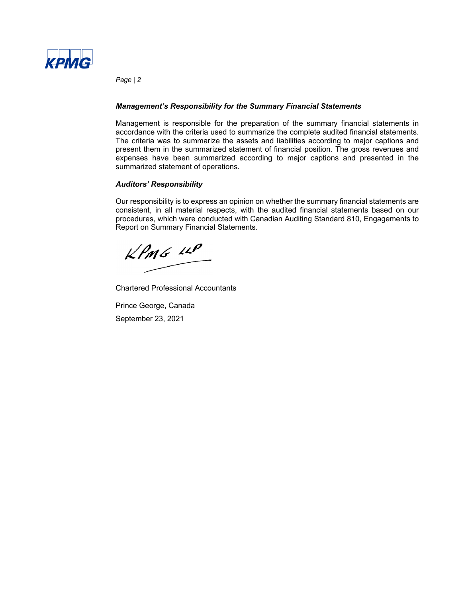

*Page | 2* 

#### *Management's Responsibility for the Summary Financial Statements*

Management is responsible for the preparation of the summary financial statements in accordance with the criteria used to summarize the complete audited financial statements. The criteria was to summarize the assets and liabilities according to major captions and present them in the summarized statement of financial position. The gross revenues and expenses have been summarized according to major captions and presented in the summarized statement of operations.

#### *Auditors' Responsibility*

Our responsibility is to express an opinion on whether the summary financial statements are consistent, in all material respects, with the audited financial statements based on our procedures, which were conducted with Canadian Auditing Standard 810, Engagements to Report on Summary Financial Statements.

 $KPMG$  11P

Chartered Professional Accountants

Prince George, Canada September 23, 2021